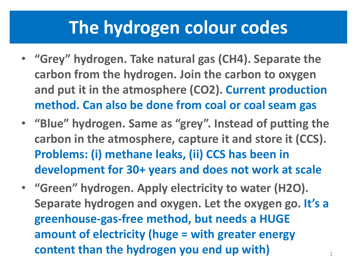### **The hydrogen colour codes**

- **"Grey" hydrogen. Take natural gas (CH4). Separate the carbon from the hydrogen. Join the carbon to oxygen and put it in the atmosphere (CO2). Current production method. Can also be done from coal or coal seam gas**
- **"Blue" hydrogen. Same as "grey". Instead of putting the carbon in the atmosphere, capture it and store it (CCS). Problems: (i) methane leaks, (ii) CCS has been in development for 30+ years and does not work at scale**
- **"Green" hydrogen. Apply electricity to water (H2O). Separate hydrogen and oxygen. Let the oxygen go. It's a greenhouse-gas-free method, but needs a HUGE amount of electricity (huge = with greater energy content than the hydrogen you end up with)** <sup>1</sup>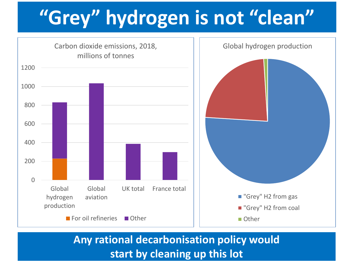# **"Grey" hydrogen is not "clean"**



**Any rational decarbonisation policy would start by cleaning up this lot**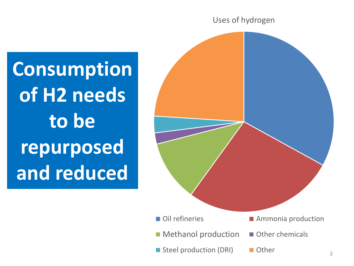#### Uses of hydrogen



**Consumption of H2 needs to be repurposed and reduced**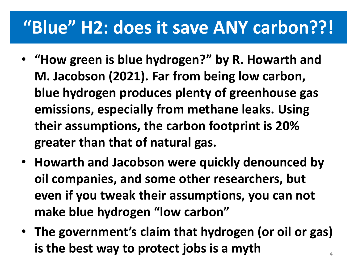## **"Blue" H2: does it save ANY carbon??!**

- **"How green is blue hydrogen?" by R. Howarth and M. Jacobson (2021). Far from being low carbon, blue hydrogen produces plenty of greenhouse gas emissions, especially from methane leaks. Using their assumptions, the carbon footprint is 20% greater than that of natural gas.**
- **Howarth and Jacobson were quickly denounced by oil companies, and some other researchers, but even if you tweak their assumptions, you can not make blue hydrogen "low carbon"**
- **The government's claim that hydrogen (or oil or gas) is the best way to protect jobs is a myth** <sup>4</sup>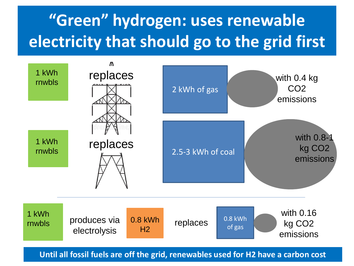## **"Green" hydrogen: uses renewable electricity that should go to the grid first**



**Until all fossil fuels are off the grid, renewables used for H2 have a carbon cost**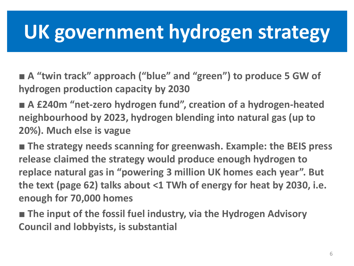# **UK government hydrogen strategy**

■ **A** "twin track" approach ("blue" and "green") to produce 5 GW of **hydrogen production capacity by 2030**

■ **A £240m "net-zero hydrogen fund", creation of a hydrogen-heated neighbourhood by 2023, hydrogen blending into natural gas (up to 20%). Much else is vague**

■ **The strategy needs scanning for greenwash. Example: the BEIS press release claimed the strategy would produce enough hydrogen to replace natural gas in "powering 3 million UK homes each year". But the text (page 62) talks about <1 TWh of energy for heat by 2030, i.e. enough for 70,000 homes** 

■ **The input of the fossil fuel industry, via the Hydrogen Advisory Council and lobbyists, is substantial**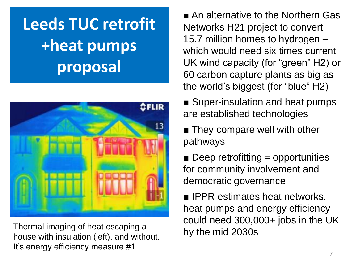# **Leeds TUC retrofit +heat pumps proposal**



Thermal imaging of heat escaping a<br>by the mid 2030s house with insulation (left), and without. It's energy efficiency measure #1

■ An alternative to the Northern Gas Networks H21 project to convert 15.7 million homes to hydrogen – which would need six times current UK wind capacity (for "green" H2) or 60 carbon capture plants as big as the world's biggest (for "blue" H2)

- Super-insulation and heat pumps are established technologies
- They compare well with other pathways
- $\blacksquare$  Deep retrofitting = opportunities for community involvement and democratic governance

■ IPPR estimates heat networks, heat pumps and energy efficiency could need 300,000+ jobs in the UK